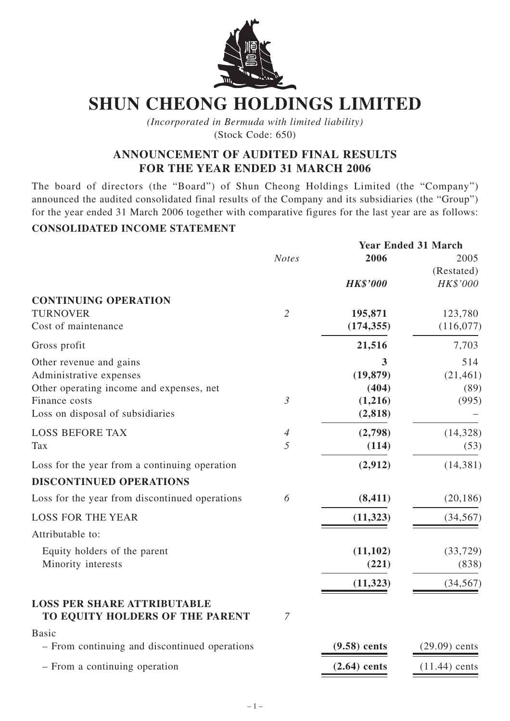

# **SHUN CHEONG HOLDINGS LIMITED**

*(Incorporated in Bermuda with limited liability)* (Stock Code: 650)

# **ANNOUNCEMENT OF AUDITED FINAL RESULTS FOR THE YEAR ENDED 31 MARCH 2006**

The board of directors (the "Board") of Shun Cheong Holdings Limited (the "Company") announced the audited consolidated final results of the Company and its subsidiaries (the "Group") for the year ended 31 March 2006 together with comparative figures for the last year are as follows:

## **CONSOLIDATED INCOME STATEMENT**

|                                                |                |                 | <b>Year Ended 31 March</b> |  |  |
|------------------------------------------------|----------------|-----------------|----------------------------|--|--|
|                                                | <b>Notes</b>   | 2006            | 2005                       |  |  |
|                                                |                |                 | (Restated)                 |  |  |
|                                                |                | <b>HK\$'000</b> | HK\$'000                   |  |  |
| <b>CONTINUING OPERATION</b>                    |                |                 |                            |  |  |
| <b>TURNOVER</b>                                | $\overline{2}$ | 195,871         | 123,780                    |  |  |
| Cost of maintenance                            |                | (174, 355)      | (116,077)                  |  |  |
| Gross profit                                   |                | 21,516          | 7,703                      |  |  |
| Other revenue and gains                        |                | 3               | 514                        |  |  |
| Administrative expenses                        |                | (19, 879)       | (21, 461)                  |  |  |
| Other operating income and expenses, net       |                | (404)           | (89)                       |  |  |
| Finance costs                                  | $\mathfrak{Z}$ | (1,216)         | (995)                      |  |  |
| Loss on disposal of subsidiaries               |                | (2, 818)        |                            |  |  |
| <b>LOSS BEFORE TAX</b>                         | 4              | (2,798)         | (14, 328)                  |  |  |
| Tax                                            | 5              | (114)           | (53)                       |  |  |
| Loss for the year from a continuing operation  |                | (2,912)         | (14, 381)                  |  |  |
| <b>DISCONTINUED OPERATIONS</b>                 |                |                 |                            |  |  |
| Loss for the year from discontinued operations | 6              | (8, 411)        | (20, 186)                  |  |  |
| <b>LOSS FOR THE YEAR</b>                       |                | (11, 323)       | (34, 567)                  |  |  |
| Attributable to:                               |                |                 |                            |  |  |
| Equity holders of the parent                   |                | (11, 102)       | (33, 729)                  |  |  |
| Minority interests                             |                | (221)           | (838)                      |  |  |
|                                                |                | (11, 323)       | (34, 567)                  |  |  |
| <b>LOSS PER SHARE ATTRIBUTABLE</b>             |                |                 |                            |  |  |
| TO EQUITY HOLDERS OF THE PARENT                | $\overline{7}$ |                 |                            |  |  |
| <b>Basic</b>                                   |                |                 |                            |  |  |
| - From continuing and discontinued operations  |                | $(9.58)$ cents  | $(29.09)$ cents            |  |  |
| - From a continuing operation                  |                | $(2.64)$ cents  | $(11.44)$ cents            |  |  |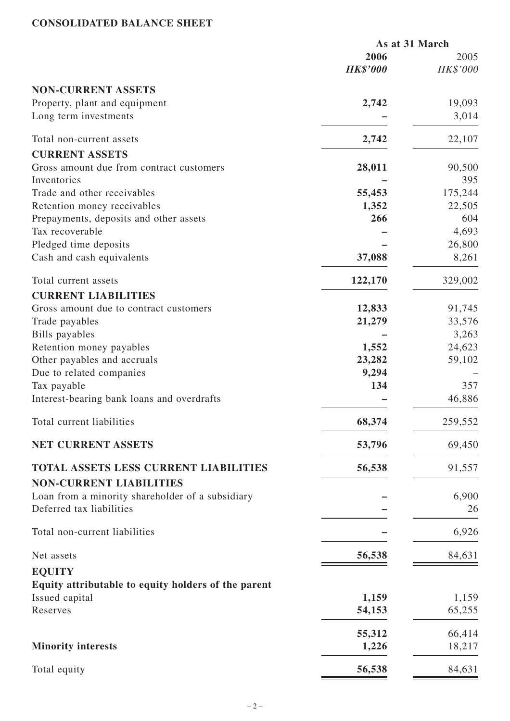## **CONSOLIDATED BALANCE SHEET**

|                                                     | As at 31 March  |          |  |
|-----------------------------------------------------|-----------------|----------|--|
|                                                     | 2006            | 2005     |  |
|                                                     | <b>HK\$'000</b> | HK\$'000 |  |
| <b>NON-CURRENT ASSETS</b>                           |                 |          |  |
| Property, plant and equipment                       | 2,742           | 19,093   |  |
| Long term investments                               |                 | 3,014    |  |
| Total non-current assets                            | 2,742           | 22,107   |  |
| <b>CURRENT ASSETS</b>                               |                 |          |  |
| Gross amount due from contract customers            | 28,011          | 90,500   |  |
| Inventories                                         |                 | 395      |  |
| Trade and other receivables                         | 55,453          | 175,244  |  |
| Retention money receivables                         | 1,352           | 22,505   |  |
| Prepayments, deposits and other assets              | 266             | 604      |  |
| Tax recoverable                                     |                 | 4,693    |  |
| Pledged time deposits                               |                 | 26,800   |  |
| Cash and cash equivalents                           | 37,088          | 8,261    |  |
| Total current assets                                | 122,170         | 329,002  |  |
| <b>CURRENT LIABILITIES</b>                          |                 |          |  |
| Gross amount due to contract customers              | 12,833          | 91,745   |  |
| Trade payables                                      | 21,279          | 33,576   |  |
| <b>Bills</b> payables                               |                 | 3,263    |  |
| Retention money payables                            | 1,552           | 24,623   |  |
| Other payables and accruals                         | 23,282          | 59,102   |  |
| Due to related companies                            | 9,294           |          |  |
| Tax payable                                         | 134             | 357      |  |
| Interest-bearing bank loans and overdrafts          |                 | 46,886   |  |
| Total current liabilities                           | 68,374          | 259,552  |  |
| NET CURRENT ASSETS                                  | 53,796          | 69,450   |  |
| TOTAL ASSETS LESS CURRENT LIABILITIES               | 56,538          | 91,557   |  |
| <b>NON-CURRENT LIABILITIES</b>                      |                 |          |  |
| Loan from a minority shareholder of a subsidiary    |                 | 6,900    |  |
| Deferred tax liabilities                            |                 | 26       |  |
| Total non-current liabilities                       |                 | 6,926    |  |
| Net assets                                          | 56,538          | 84,631   |  |
| <b>EQUITY</b>                                       |                 |          |  |
| Equity attributable to equity holders of the parent |                 |          |  |
| Issued capital                                      | 1,159           | 1,159    |  |
| Reserves                                            | 54,153          | 65,255   |  |
|                                                     | 55,312          | 66,414   |  |
| <b>Minority interests</b>                           | 1,226           | 18,217   |  |
| Total equity                                        | 56,538          | 84,631   |  |
|                                                     |                 |          |  |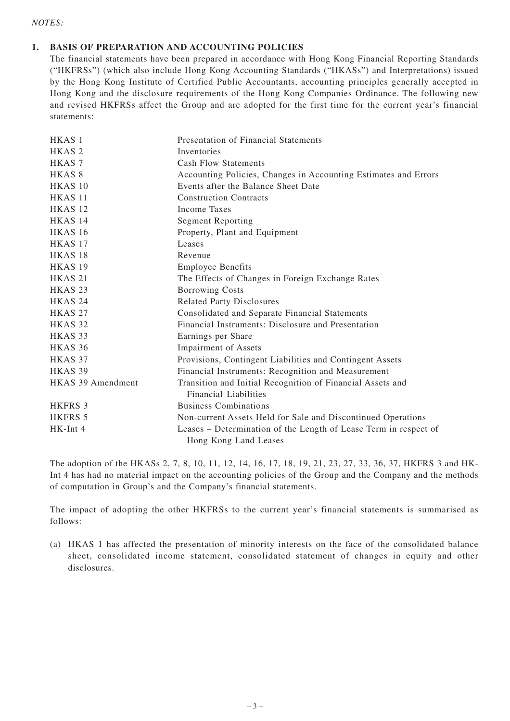#### *NOTES:*

#### **1. BASIS OF PREPARATION AND ACCOUNTING POLICIES**

The financial statements have been prepared in accordance with Hong Kong Financial Reporting Standards ("HKFRSs") (which also include Hong Kong Accounting Standards ("HKASs") and Interpretations) issued by the Hong Kong Institute of Certified Public Accountants, accounting principles generally accepted in Hong Kong and the disclosure requirements of the Hong Kong Companies Ordinance. The following new and revised HKFRSs affect the Group and are adopted for the first time for the current year's financial statements:

| HKAS <sub>1</sub>  | Presentation of Financial Statements                             |
|--------------------|------------------------------------------------------------------|
| HKAS <sub>2</sub>  | Inventories                                                      |
| HKAS <sub>7</sub>  | <b>Cash Flow Statements</b>                                      |
| HKAS <sub>8</sub>  | Accounting Policies, Changes in Accounting Estimates and Errors  |
| HKAS <sub>10</sub> | Events after the Balance Sheet Date                              |
| HKAS <sub>11</sub> | <b>Construction Contracts</b>                                    |
| HKAS <sub>12</sub> | <b>Income Taxes</b>                                              |
| HKAS <sub>14</sub> | <b>Segment Reporting</b>                                         |
| <b>HKAS 16</b>     | Property, Plant and Equipment                                    |
| HKAS 17            | Leases                                                           |
| HKAS <sub>18</sub> | Revenue                                                          |
| <b>HKAS 19</b>     | <b>Employee Benefits</b>                                         |
| HKAS <sub>21</sub> | The Effects of Changes in Foreign Exchange Rates                 |
| HKAS <sub>23</sub> | <b>Borrowing Costs</b>                                           |
| HKAS <sub>24</sub> | <b>Related Party Disclosures</b>                                 |
| <b>HKAS 27</b>     | Consolidated and Separate Financial Statements                   |
| HKAS <sub>32</sub> | Financial Instruments: Disclosure and Presentation               |
| HKAS <sub>33</sub> | Earnings per Share                                               |
| HKAS 36            | <b>Impairment of Assets</b>                                      |
| HKAS <sub>37</sub> | Provisions, Contingent Liabilities and Contingent Assets         |
| HKAS 39            | Financial Instruments: Recognition and Measurement               |
| HKAS 39 Amendment  | Transition and Initial Recognition of Financial Assets and       |
|                    | Financial Liabilities                                            |
| <b>HKFRS 3</b>     | <b>Business Combinations</b>                                     |
| <b>HKFRS 5</b>     | Non-current Assets Held for Sale and Discontinued Operations     |
| HK-Int 4           | Leases - Determination of the Length of Lease Term in respect of |
|                    | Hong Kong Land Leases                                            |

The adoption of the HKASs 2, 7, 8, 10, 11, 12, 14, 16, 17, 18, 19, 21, 23, 27, 33, 36, 37, HKFRS 3 and HK-Int 4 has had no material impact on the accounting policies of the Group and the Company and the methods of computation in Group's and the Company's financial statements.

The impact of adopting the other HKFRSs to the current year's financial statements is summarised as follows:

(a) HKAS 1 has affected the presentation of minority interests on the face of the consolidated balance sheet, consolidated income statement, consolidated statement of changes in equity and other disclosures.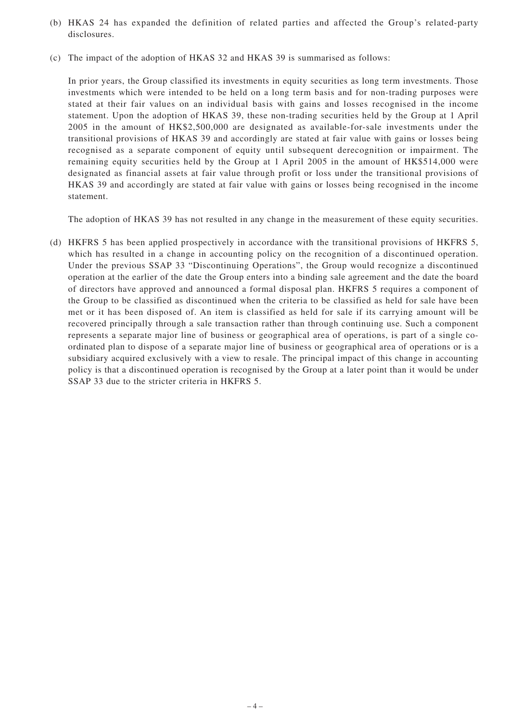- (b) HKAS 24 has expanded the definition of related parties and affected the Group's related-party disclosures.
- (c) The impact of the adoption of HKAS 32 and HKAS 39 is summarised as follows:

In prior years, the Group classified its investments in equity securities as long term investments. Those investments which were intended to be held on a long term basis and for non-trading purposes were stated at their fair values on an individual basis with gains and losses recognised in the income statement. Upon the adoption of HKAS 39, these non-trading securities held by the Group at 1 April 2005 in the amount of HK\$2,500,000 are designated as available-for-sale investments under the transitional provisions of HKAS 39 and accordingly are stated at fair value with gains or losses being recognised as a separate component of equity until subsequent derecognition or impairment. The remaining equity securities held by the Group at 1 April 2005 in the amount of HK\$514,000 were designated as financial assets at fair value through profit or loss under the transitional provisions of HKAS 39 and accordingly are stated at fair value with gains or losses being recognised in the income statement.

The adoption of HKAS 39 has not resulted in any change in the measurement of these equity securities.

(d) HKFRS 5 has been applied prospectively in accordance with the transitional provisions of HKFRS 5, which has resulted in a change in accounting policy on the recognition of a discontinued operation. Under the previous SSAP 33 "Discontinuing Operations", the Group would recognize a discontinued operation at the earlier of the date the Group enters into a binding sale agreement and the date the board of directors have approved and announced a formal disposal plan. HKFRS 5 requires a component of the Group to be classified as discontinued when the criteria to be classified as held for sale have been met or it has been disposed of. An item is classified as held for sale if its carrying amount will be recovered principally through a sale transaction rather than through continuing use. Such a component represents a separate major line of business or geographical area of operations, is part of a single coordinated plan to dispose of a separate major line of business or geographical area of operations or is a subsidiary acquired exclusively with a view to resale. The principal impact of this change in accounting policy is that a discontinued operation is recognised by the Group at a later point than it would be under SSAP 33 due to the stricter criteria in HKFRS 5.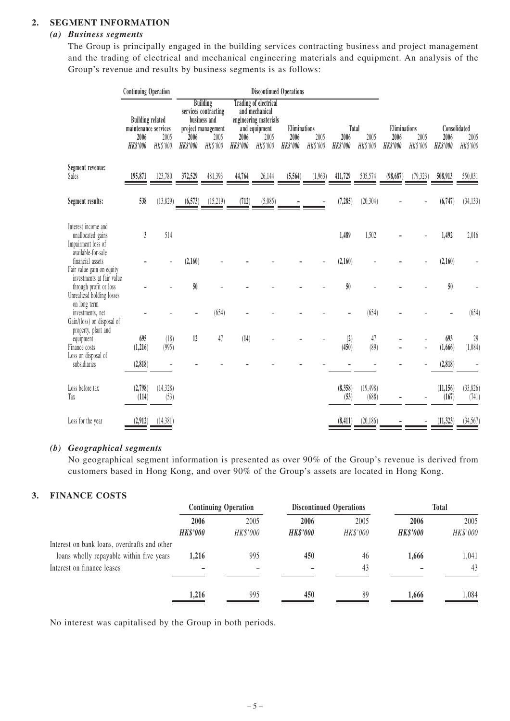#### **2. SEGMENT INFORMATION**

#### *(a) Business segments*

The Group is principally engaged in the building services contracting business and project management and the trading of electrical and mechanical engineering materials and equipment. An analysis of the Group's revenue and results by business segments is as follows:

|                                                                                      | <b>Continuing Operation</b>                                                |                   | <b>Discontinued Operations</b> |                                                                                                   |                         |                                                                                                              |                                         |                  |                         |                           |                                         |                  |                                         |                   |
|--------------------------------------------------------------------------------------|----------------------------------------------------------------------------|-------------------|--------------------------------|---------------------------------------------------------------------------------------------------|-------------------------|--------------------------------------------------------------------------------------------------------------|-----------------------------------------|------------------|-------------------------|---------------------------|-----------------------------------------|------------------|-----------------------------------------|-------------------|
|                                                                                      | <b>Building related</b><br>maintenance services<br>2006<br><b>HK\$'000</b> | 2005<br>HK\$'000  | 2006<br><b>HK\$'000</b>        | <b>Building</b><br>services contracting<br>business and<br>project management<br>2005<br>HK\$'000 | 2006<br><b>HK\$'000</b> | <b>Trading of electrical</b><br>and mechanical<br>engineering materials<br>and equipment<br>2005<br>HK\$'000 | Eliminations<br>2006<br><b>HK\$'000</b> | 2005<br>HK\$'000 | 2006<br><b>HK\$'000</b> | Total<br>2005<br>HK\$'000 | Eliminations<br>2006<br><b>HK\$'000</b> | 2005<br>HK\$'000 | Consolidated<br>2006<br><b>HK\$'000</b> | 2005<br>HK\$'000  |
| Segment revenue:<br>Sales                                                            | 195,871                                                                    | 123,780           | 372,529                        | 481,393                                                                                           | 44,764                  | 26,144                                                                                                       | (5, 564)                                | (1,963)          | 411,729                 | 505,574                   | (98, 687)                               | (79, 323)        | 508,913                                 | 550,031           |
| Segment results:                                                                     | 538                                                                        | (13, 829)         | (6, 573)                       | (15,219)                                                                                          | (712)                   | (5,085)                                                                                                      |                                         |                  | (7, 285)                | (20, 304)                 |                                         |                  | (6, 747)                                | (34, 133)         |
| Interest income and<br>unallocated gains<br>Impairment loss of<br>available-for-sale | $\mathfrak{z}$                                                             | 514               |                                |                                                                                                   |                         |                                                                                                              |                                         |                  | 1,489                   | 1,502                     |                                         |                  | 1,492                                   | 2,016             |
| financial assets<br>Fair value gain on equity                                        |                                                                            |                   | (2,160)                        |                                                                                                   |                         |                                                                                                              |                                         |                  | (2,160)                 |                           |                                         |                  | (2,160)                                 |                   |
| investments at fair value<br>through profit or loss<br>Unrealized holding losses     |                                                                            |                   | 50                             |                                                                                                   |                         |                                                                                                              |                                         |                  | 50                      |                           |                                         |                  | 50                                      |                   |
| on long term<br>investments, net<br>Gain/(loss) on disposal of                       |                                                                            |                   |                                | (654)                                                                                             |                         |                                                                                                              |                                         |                  |                         | (654)                     |                                         |                  |                                         | (654)             |
| property, plant and<br>equipment<br>Finance costs<br>Loss on disposal of             | 695<br>(1,216)                                                             | (18)<br>(995)     | 12                             | 47                                                                                                | (14)                    |                                                                                                              |                                         |                  | (2)<br>(450)            | 47<br>(89)                |                                         |                  | 693<br>(1,666)                          | $29$<br>(1,084)   |
| subsidiaries                                                                         | (2, 818)                                                                   |                   |                                |                                                                                                   |                         |                                                                                                              |                                         |                  |                         |                           |                                         |                  | (2,818)                                 |                   |
| Loss before tax<br>Tax                                                               | (2,798)<br>(114)                                                           | (14, 328)<br>(53) |                                |                                                                                                   |                         |                                                                                                              |                                         |                  | (8,358)<br>(53)         | (19, 498)<br>(688)        |                                         |                  | (11, 156)<br>(167)                      | (33,826)<br>(741) |
| Loss for the year                                                                    | (2,912)                                                                    | (14,381)          |                                |                                                                                                   |                         |                                                                                                              |                                         |                  | (8, 411)                | (20, 186)                 |                                         |                  | (11, 323)                               | (34, 567)         |

#### *(b) Geographical segments*

No geographical segment information is presented as over 90% of the Group's revenue is derived from customers based in Hong Kong, and over 90% of the Group's assets are located in Hong Kong.

#### **3. FINANCE COSTS**

|                                              | <b>Continuing Operation</b> |          |                 | <b>Discontinued Operations</b> |                 | <b>Total</b> |
|----------------------------------------------|-----------------------------|----------|-----------------|--------------------------------|-----------------|--------------|
|                                              | 2006                        | 2005     | 2006            | 2005                           | 2006            | 2005         |
|                                              | <b>HK\$'000</b>             | HK\$'000 | <b>HK\$'000</b> | HK\$'000                       | <b>HK\$'000</b> | HK\$'000     |
| Interest on bank loans, overdrafts and other |                             |          |                 |                                |                 |              |
| loans wholly repayable within five years     | 1.216                       | 995      | 450             | 46                             | 1.666           | 1.041        |
| Interest on finance leases                   |                             |          |                 | 43                             |                 | 43           |
|                                              |                             |          |                 |                                |                 |              |
|                                              | 1,216                       | 995      | 450             | 89                             | 1,666           | .084         |

No interest was capitalised by the Group in both periods.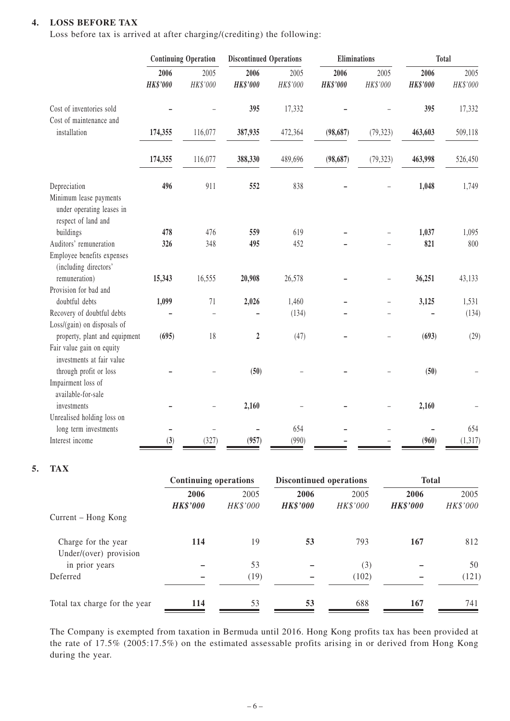#### **4. LOSS BEFORE TAX**

Loss before tax is arrived at after charging/(crediting) the following:

|                                                                                            | <b>Continuing Operation</b> |                          | <b>Discontinued Operations</b> |                  | <b>Eliminations</b>     |                  | <b>Total</b>            |                  |
|--------------------------------------------------------------------------------------------|-----------------------------|--------------------------|--------------------------------|------------------|-------------------------|------------------|-------------------------|------------------|
|                                                                                            | 2006<br><b>HK\$'000</b>     | 2005<br>HK\$'000         | 2006<br><b>HK\$'000</b>        | 2005<br>HK\$'000 | 2006<br><b>HK\$'000</b> | 2005<br>HK\$'000 | 2006<br><b>HK\$'000</b> | 2005<br>HK\$'000 |
| Cost of inventories sold                                                                   |                             |                          | 395                            | 17,332           |                         |                  | 395                     | 17,332           |
| Cost of maintenance and<br>installation                                                    | 174,355                     | 116,077                  | 387,935                        | 472,364          | (98, 687)               | (79, 323)        | 463,603                 | 509,118          |
|                                                                                            | 174,355                     | 116,077                  | 388,330                        | 489,696          | (98, 687)               | (79, 323)        | 463,998                 | 526,450          |
| Depreciation<br>Minimum lease payments<br>under operating leases in<br>respect of land and | 496                         | 911                      | 552                            | 838              |                         |                  | 1,048                   | 1,749            |
| buildings                                                                                  | 478                         | 476                      | 559                            | 619              |                         |                  | 1,037                   | 1,095            |
| Auditors' remuneration<br>Employee benefits expenses<br>(including directors'              | 326                         | 348                      | 495                            | 452              |                         |                  | 821                     | 800              |
| remuneration)                                                                              | 15,343                      | 16,555                   | 20,908                         | 26,578           |                         |                  | 36,251                  | 43,133           |
| Provision for bad and<br>doubtful debts                                                    |                             | 71                       |                                |                  |                         |                  |                         |                  |
| Recovery of doubtful debts<br>Loss/(gain) on disposals of                                  | 1,099                       |                          | 2,026                          | 1,460<br>(134)   |                         |                  | 3,125                   | 1,531<br>(134)   |
| property, plant and equipment<br>Fair value gain on equity<br>investments at fair value    | (695)                       | 18                       | $\overline{2}$                 | (47)             |                         |                  | (693)                   | (29)             |
| through profit or loss<br>Impairment loss of<br>available-for-sale                         |                             |                          | (50)                           |                  |                         |                  | (50)                    |                  |
| investments<br>Unrealised holding loss on                                                  |                             |                          | 2,160                          |                  |                         |                  | 2,160                   |                  |
| long term investments                                                                      |                             | $\overline{\phantom{0}}$ |                                | 654              |                         |                  |                         | 654              |
| Interest income                                                                            | (3)                         | (327)                    | (957)                          | (990)            |                         |                  | (960)                   | (1, 317)         |

#### **5. TAX**

|                                               | <b>Continuing operations</b> |                  | Discontinued operations |                  | <b>Total</b>            |                  |  |
|-----------------------------------------------|------------------------------|------------------|-------------------------|------------------|-------------------------|------------------|--|
|                                               | 2006<br><b>HK\$'000</b>      | 2005<br>HK\$'000 | 2006<br><b>HK\$'000</b> | 2005<br>HK\$'000 | 2006<br><b>HK\$'000</b> | 2005<br>HK\$'000 |  |
| Current – Hong Kong                           |                              |                  |                         |                  |                         |                  |  |
| Charge for the year<br>Under/(over) provision | 114                          | 19               | 53                      | 793              | 167                     | 812              |  |
| in prior years                                |                              | 53               |                         | (3)              |                         | 50               |  |
| Deferred                                      |                              | (19)             |                         | (102)            |                         | (121)            |  |
| Total tax charge for the year                 | 114                          | 53               | 53                      | 688              | 167                     | 741              |  |

The Company is exempted from taxation in Bermuda until 2016. Hong Kong profits tax has been provided at the rate of 17.5% (2005:17.5%) on the estimated assessable profits arising in or derived from Hong Kong during the year.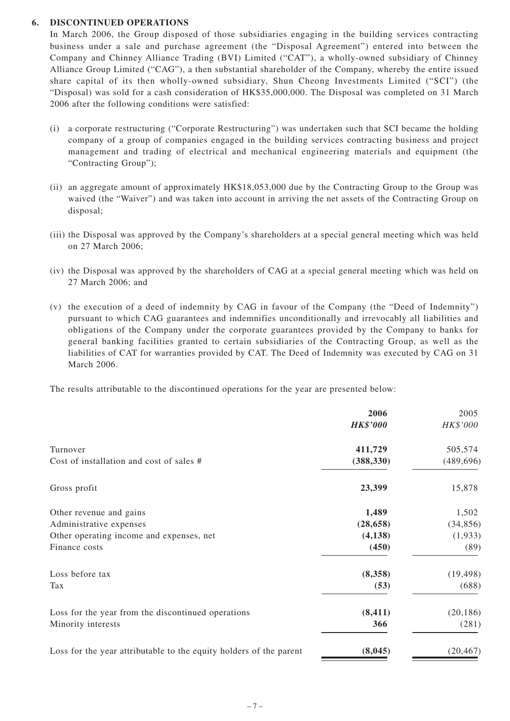#### **6. DISCONTINUED OPERATIONS**

In March 2006, the Group disposed of those subsidiaries engaging in the building services contracting business under a sale and purchase agreement (the "Disposal Agreement") entered into between the Company and Chinney Alliance Trading (BVI) Limited ("CAT"), a wholly-owned subsidiary of Chinney Alliance Group Limited ("CAG"), a then substantial shareholder of the Company, whereby the entire issued share capital of its then wholly-owned subsidiary, Shun Cheong Investments Limited ("SCI") (the "Disposal) was sold for a cash consideration of HK\$35,000,000. The Disposal was completed on 31 March 2006 after the following conditions were satisfied:

- (i) a corporate restructuring ("Corporate Restructuring") was undertaken such that SCI became the holding company of a group of companies engaged in the building services contracting business and project management and trading of electrical and mechanical engineering materials and equipment (the "Contracting Group");
- (ii) an aggregate amount of approximately HK\$18,053,000 due by the Contracting Group to the Group was waived (the "Waiver") and was taken into account in arriving the net assets of the Contracting Group on disposal;
- (iii) the Disposal was approved by the Company's shareholders at a special general meeting which was held on 27 March 2006;
- (iv) the Disposal was approved by the shareholders of CAG at a special general meeting which was held on 27 March 2006; and
- (v) the execution of a deed of indemnity by CAG in favour of the Company (the "Deed of Indemnity") pursuant to which CAG guarantees and indemnifies unconditionally and irrevocably all liabilities and obligations of the Company under the corporate guarantees provided by the Company to banks for general banking facilities granted to certain subsidiaries of the Contracting Group, as well as the liabilities of CAT for warranties provided by CAT. The Deed of Indemnity was executed by CAG on 31 March 2006.

The results attributable to the discontinued operations for the year are presented below:

|                                                                    | 2006            | 2005       |
|--------------------------------------------------------------------|-----------------|------------|
|                                                                    | <b>HK\$'000</b> | HK\$'000   |
| Turnover                                                           | 411,729         | 505,574    |
| Cost of installation and cost of sales #                           | (388, 330)      | (489, 696) |
| Gross profit                                                       | 23,399          | 15,878     |
| Other revenue and gains                                            | 1,489           | 1,502      |
| Administrative expenses                                            | (28, 658)       | (34, 856)  |
| Other operating income and expenses, net                           | (4,138)         | (1,933)    |
| Finance costs                                                      | (450)           | (89)       |
| Loss before tax                                                    | (8,358)         | (19, 498)  |
| Tax                                                                | (53)            | (688)      |
| Loss for the year from the discontinued operations                 | (8, 411)        | (20, 186)  |
| Minority interests                                                 | 366             | (281)      |
| Loss for the year attributable to the equity holders of the parent | (8,045)         | (20, 467)  |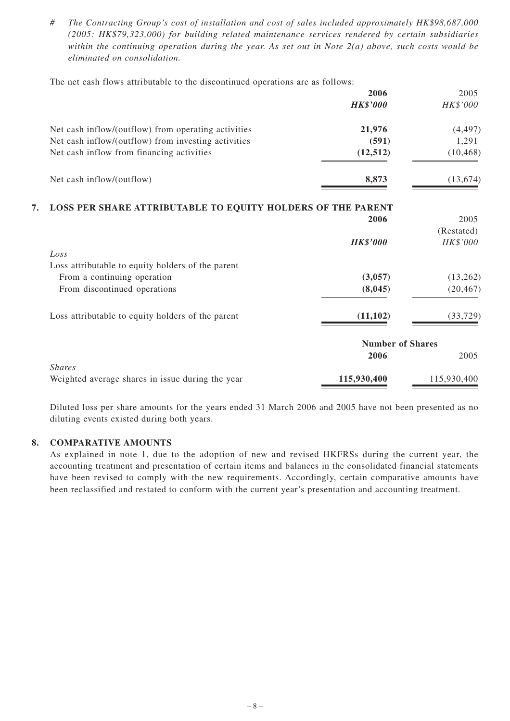*# The Contracting Group's cost of installation and cost of sales included approximately HK\$98,687,000 (2005: HK\$79,323,000) for building related maintenance services rendered by certain subsidiaries within the continuing operation during the year. As set out in Note 2(a) above, such costs would be eliminated on consolidation.*

The net cash flows attributable to the discontinued operations are as follows:

|                                                                   | 2006<br><b>HK\$'000</b> | 2005<br>HK\$'000 |
|-------------------------------------------------------------------|-------------------------|------------------|
| Net cash inflow/(outflow) from operating activities               | 21,976                  | (4, 497)         |
| Net cash inflow/(outflow) from investing activities               | (591)                   | 1,291            |
| Net cash inflow from financing activities                         | (12, 512)               | (10, 468)        |
| Net cash inflow/(outflow)                                         | 8,873                   | (13, 674)        |
| LOSS PER SHARE ATTRIBUTABLE TO EQUITY HOLDERS OF THE PARENT<br>7. |                         |                  |
|                                                                   | 2006                    | 2005             |
|                                                                   |                         | (Restated)       |
|                                                                   | <b>HK\$'000</b>         | HK\$'000         |
| Loss                                                              |                         |                  |
| Loss attributable to equity holders of the parent                 |                         |                  |
| From a continuing operation                                       | (3,057)                 | (13,262)         |
| From discontinued operations                                      | (8,045)                 | (20, 467)        |
| Loss attributable to equity holders of the parent                 | (11, 102)               | (33, 729)        |
|                                                                   | <b>Number of Shares</b> |                  |
|                                                                   | 2006                    | 2005             |
| <b>Shares</b>                                                     |                         |                  |
| Weighted average shares in issue during the year                  | 115,930,400             | 115,930,400      |

Diluted loss per share amounts for the years ended 31 March 2006 and 2005 have not been presented as no diluting events existed during both years.

#### **8. COMPARATIVE AMOUNTS**

As explained in note 1, due to the adoption of new and revised HKFRSs during the current year, the accounting treatment and presentation of certain items and balances in the consolidated financial statements have been revised to comply with the new requirements. Accordingly, certain comparative amounts have been reclassified and restated to conform with the current year's presentation and accounting treatment.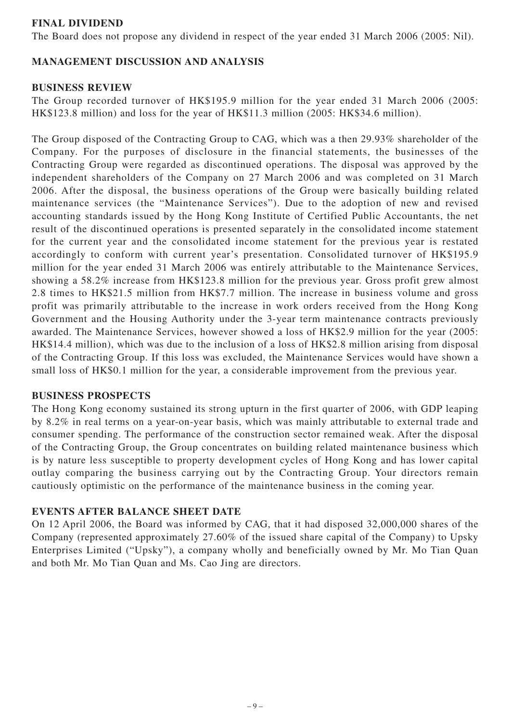## **FINAL DIVIDEND**

The Board does not propose any dividend in respect of the year ended 31 March 2006 (2005: Nil).

# **MANAGEMENT DISCUSSION AND ANALYSIS**

## **BUSINESS REVIEW**

The Group recorded turnover of HK\$195.9 million for the year ended 31 March 2006 (2005: HK\$123.8 million) and loss for the year of HK\$11.3 million (2005: HK\$34.6 million).

The Group disposed of the Contracting Group to CAG, which was a then 29.93% shareholder of the Company. For the purposes of disclosure in the financial statements, the businesses of the Contracting Group were regarded as discontinued operations. The disposal was approved by the independent shareholders of the Company on 27 March 2006 and was completed on 31 March 2006. After the disposal, the business operations of the Group were basically building related maintenance services (the "Maintenance Services"). Due to the adoption of new and revised accounting standards issued by the Hong Kong Institute of Certified Public Accountants, the net result of the discontinued operations is presented separately in the consolidated income statement for the current year and the consolidated income statement for the previous year is restated accordingly to conform with current year's presentation. Consolidated turnover of HK\$195.9 million for the year ended 31 March 2006 was entirely attributable to the Maintenance Services, showing a 58.2% increase from HK\$123.8 million for the previous year. Gross profit grew almost 2.8 times to HK\$21.5 million from HK\$7.7 million. The increase in business volume and gross profit was primarily attributable to the increase in work orders received from the Hong Kong Government and the Housing Authority under the 3-year term maintenance contracts previously awarded. The Maintenance Services, however showed a loss of HK\$2.9 million for the year (2005: HK\$14.4 million), which was due to the inclusion of a loss of HK\$2.8 million arising from disposal of the Contracting Group. If this loss was excluded, the Maintenance Services would have shown a small loss of HK\$0.1 million for the year, a considerable improvement from the previous year.

#### **BUSINESS PROSPECTS**

The Hong Kong economy sustained its strong upturn in the first quarter of 2006, with GDP leaping by 8.2% in real terms on a year-on-year basis, which was mainly attributable to external trade and consumer spending. The performance of the construction sector remained weak. After the disposal of the Contracting Group, the Group concentrates on building related maintenance business which is by nature less susceptible to property development cycles of Hong Kong and has lower capital outlay comparing the business carrying out by the Contracting Group. Your directors remain cautiously optimistic on the performance of the maintenance business in the coming year.

## **EVENTS AFTER BALANCE SHEET DATE**

On 12 April 2006, the Board was informed by CAG, that it had disposed 32,000,000 shares of the Company (represented approximately 27.60% of the issued share capital of the Company) to Upsky Enterprises Limited ("Upsky"), a company wholly and beneficially owned by Mr. Mo Tian Quan and both Mr. Mo Tian Quan and Ms. Cao Jing are directors.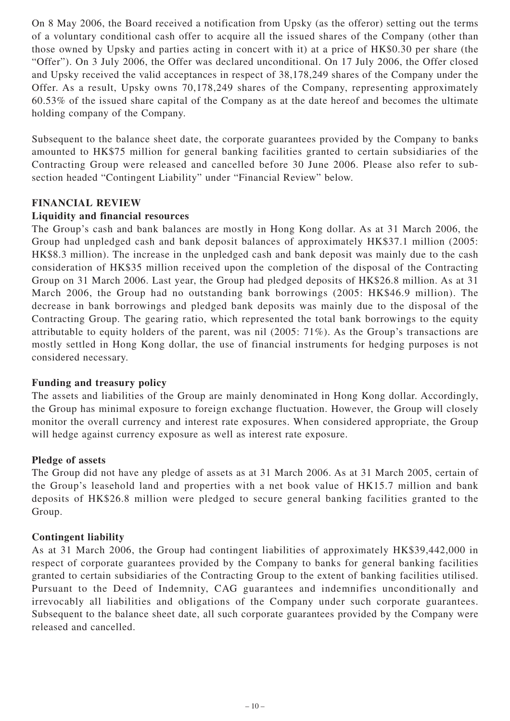On 8 May 2006, the Board received a notification from Upsky (as the offeror) setting out the terms of a voluntary conditional cash offer to acquire all the issued shares of the Company (other than those owned by Upsky and parties acting in concert with it) at a price of HK\$0.30 per share (the "Offer"). On 3 July 2006, the Offer was declared unconditional. On 17 July 2006, the Offer closed and Upsky received the valid acceptances in respect of 38,178,249 shares of the Company under the Offer. As a result, Upsky owns 70,178,249 shares of the Company, representing approximately 60.53% of the issued share capital of the Company as at the date hereof and becomes the ultimate holding company of the Company.

Subsequent to the balance sheet date, the corporate guarantees provided by the Company to banks amounted to HK\$75 million for general banking facilities granted to certain subsidiaries of the Contracting Group were released and cancelled before 30 June 2006. Please also refer to subsection headed "Contingent Liability" under "Financial Review" below.

## **FINANCIAL REVIEW**

### **Liquidity and financial resources**

The Group's cash and bank balances are mostly in Hong Kong dollar. As at 31 March 2006, the Group had unpledged cash and bank deposit balances of approximately HK\$37.1 million (2005: HK\$8.3 million). The increase in the unpledged cash and bank deposit was mainly due to the cash consideration of HK\$35 million received upon the completion of the disposal of the Contracting Group on 31 March 2006. Last year, the Group had pledged deposits of HK\$26.8 million. As at 31 March 2006, the Group had no outstanding bank borrowings (2005: HK\$46.9 million). The decrease in bank borrowings and pledged bank deposits was mainly due to the disposal of the Contracting Group. The gearing ratio, which represented the total bank borrowings to the equity attributable to equity holders of the parent, was nil (2005: 71%). As the Group's transactions are mostly settled in Hong Kong dollar, the use of financial instruments for hedging purposes is not considered necessary.

#### **Funding and treasury policy**

The assets and liabilities of the Group are mainly denominated in Hong Kong dollar. Accordingly, the Group has minimal exposure to foreign exchange fluctuation. However, the Group will closely monitor the overall currency and interest rate exposures. When considered appropriate, the Group will hedge against currency exposure as well as interest rate exposure.

#### **Pledge of assets**

The Group did not have any pledge of assets as at 31 March 2006. As at 31 March 2005, certain of the Group's leasehold land and properties with a net book value of HK15.7 million and bank deposits of HK\$26.8 million were pledged to secure general banking facilities granted to the Group.

## **Contingent liability**

As at 31 March 2006, the Group had contingent liabilities of approximately HK\$39,442,000 in respect of corporate guarantees provided by the Company to banks for general banking facilities granted to certain subsidiaries of the Contracting Group to the extent of banking facilities utilised. Pursuant to the Deed of Indemnity, CAG guarantees and indemnifies unconditionally and irrevocably all liabilities and obligations of the Company under such corporate guarantees. Subsequent to the balance sheet date, all such corporate guarantees provided by the Company were released and cancelled.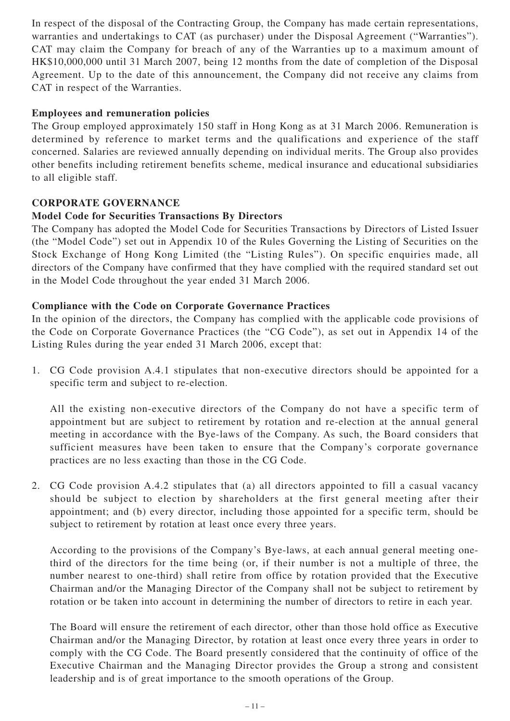In respect of the disposal of the Contracting Group, the Company has made certain representations, warranties and undertakings to CAT (as purchaser) under the Disposal Agreement ("Warranties"). CAT may claim the Company for breach of any of the Warranties up to a maximum amount of HK\$10,000,000 until 31 March 2007, being 12 months from the date of completion of the Disposal Agreement. Up to the date of this announcement, the Company did not receive any claims from CAT in respect of the Warranties.

## **Employees and remuneration policies**

The Group employed approximately 150 staff in Hong Kong as at 31 March 2006. Remuneration is determined by reference to market terms and the qualifications and experience of the staff concerned. Salaries are reviewed annually depending on individual merits. The Group also provides other benefits including retirement benefits scheme, medical insurance and educational subsidiaries to all eligible staff.

# **CORPORATE GOVERNANCE**

# **Model Code for Securities Transactions By Directors**

The Company has adopted the Model Code for Securities Transactions by Directors of Listed Issuer (the "Model Code") set out in Appendix 10 of the Rules Governing the Listing of Securities on the Stock Exchange of Hong Kong Limited (the "Listing Rules"). On specific enquiries made, all directors of the Company have confirmed that they have complied with the required standard set out in the Model Code throughout the year ended 31 March 2006.

# **Compliance with the Code on Corporate Governance Practices**

In the opinion of the directors, the Company has complied with the applicable code provisions of the Code on Corporate Governance Practices (the "CG Code"), as set out in Appendix 14 of the Listing Rules during the year ended 31 March 2006, except that:

1. CG Code provision A.4.1 stipulates that non-executive directors should be appointed for a specific term and subject to re-election.

All the existing non-executive directors of the Company do not have a specific term of appointment but are subject to retirement by rotation and re-election at the annual general meeting in accordance with the Bye-laws of the Company. As such, the Board considers that sufficient measures have been taken to ensure that the Company's corporate governance practices are no less exacting than those in the CG Code.

2. CG Code provision A.4.2 stipulates that (a) all directors appointed to fill a casual vacancy should be subject to election by shareholders at the first general meeting after their appointment; and (b) every director, including those appointed for a specific term, should be subject to retirement by rotation at least once every three years.

According to the provisions of the Company's Bye-laws, at each annual general meeting onethird of the directors for the time being (or, if their number is not a multiple of three, the number nearest to one-third) shall retire from office by rotation provided that the Executive Chairman and/or the Managing Director of the Company shall not be subject to retirement by rotation or be taken into account in determining the number of directors to retire in each year.

The Board will ensure the retirement of each director, other than those hold office as Executive Chairman and/or the Managing Director, by rotation at least once every three years in order to comply with the CG Code. The Board presently considered that the continuity of office of the Executive Chairman and the Managing Director provides the Group a strong and consistent leadership and is of great importance to the smooth operations of the Group.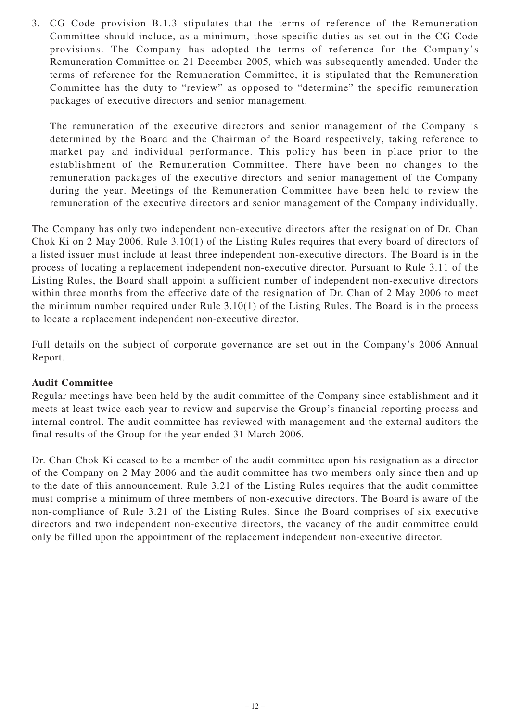3. CG Code provision B.1.3 stipulates that the terms of reference of the Remuneration Committee should include, as a minimum, those specific duties as set out in the CG Code provisions. The Company has adopted the terms of reference for the Company's Remuneration Committee on 21 December 2005, which was subsequently amended. Under the terms of reference for the Remuneration Committee, it is stipulated that the Remuneration Committee has the duty to "review" as opposed to "determine" the specific remuneration packages of executive directors and senior management.

The remuneration of the executive directors and senior management of the Company is determined by the Board and the Chairman of the Board respectively, taking reference to market pay and individual performance. This policy has been in place prior to the establishment of the Remuneration Committee. There have been no changes to the remuneration packages of the executive directors and senior management of the Company during the year. Meetings of the Remuneration Committee have been held to review the remuneration of the executive directors and senior management of the Company individually.

The Company has only two independent non-executive directors after the resignation of Dr. Chan Chok Ki on 2 May 2006. Rule 3.10(1) of the Listing Rules requires that every board of directors of a listed issuer must include at least three independent non-executive directors. The Board is in the process of locating a replacement independent non-executive director. Pursuant to Rule 3.11 of the Listing Rules, the Board shall appoint a sufficient number of independent non-executive directors within three months from the effective date of the resignation of Dr. Chan of 2 May 2006 to meet the minimum number required under Rule 3.10(1) of the Listing Rules. The Board is in the process to locate a replacement independent non-executive director.

Full details on the subject of corporate governance are set out in the Company's 2006 Annual Report.

## **Audit Committee**

Regular meetings have been held by the audit committee of the Company since establishment and it meets at least twice each year to review and supervise the Group's financial reporting process and internal control. The audit committee has reviewed with management and the external auditors the final results of the Group for the year ended 31 March 2006.

Dr. Chan Chok Ki ceased to be a member of the audit committee upon his resignation as a director of the Company on 2 May 2006 and the audit committee has two members only since then and up to the date of this announcement. Rule 3.21 of the Listing Rules requires that the audit committee must comprise a minimum of three members of non-executive directors. The Board is aware of the non-compliance of Rule 3.21 of the Listing Rules. Since the Board comprises of six executive directors and two independent non-executive directors, the vacancy of the audit committee could only be filled upon the appointment of the replacement independent non-executive director.